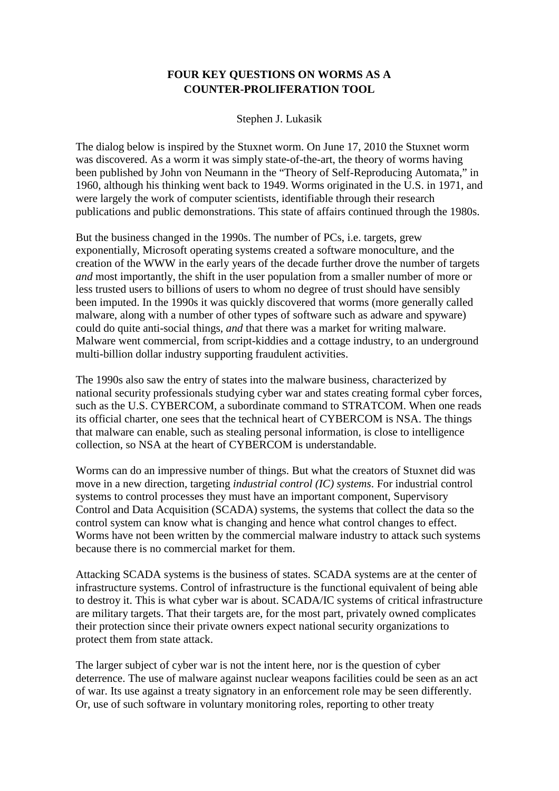## **FOUR KEY QUESTIONS ON WORMS AS A COUNTER-PROLIFERATION TOOL**

Stephen J. Lukasik

The dialog below is inspired by the Stuxnet worm. On June 17, 2010 the Stuxnet worm was discovered. As a worm it was simply state-of-the-art, the theory of worms having been published by John von Neumann in the "Theory of Self-Reproducing Automata," in 1960, although his thinking went back to 1949. Worms originated in the U.S. in 1971, and were largely the work of computer scientists, identifiable through their research publications and public demonstrations. This state of affairs continued through the 1980s.

But the business changed in the 1990s. The number of PCs, i.e. targets, grew exponentially, Microsoft operating systems created a software monoculture, and the creation of the WWW in the early years of the decade further drove the number of targets *and* most importantly, the shift in the user population from a smaller number of more or less trusted users to billions of users to whom no degree of trust should have sensibly been imputed. In the 1990s it was quickly discovered that worms (more generally called malware, along with a number of other types of software such as adware and spyware) could do quite anti-social things, *and* that there was a market for writing malware. Malware went commercial, from script-kiddies and a cottage industry, to an underground multi-billion dollar industry supporting fraudulent activities.

The 1990s also saw the entry of states into the malware business, characterized by national security professionals studying cyber war and states creating formal cyber forces, such as the U.S. CYBERCOM, a subordinate command to STRATCOM. When one reads its official charter, one sees that the technical heart of CYBERCOM is NSA. The things that malware can enable, such as stealing personal information, is close to intelligence collection, so NSA at the heart of CYBERCOM is understandable.

Worms can do an impressive number of things. But what the creators of Stuxnet did was move in a new direction, targeting *industrial control (IC) systems*. For industrial control systems to control processes they must have an important component, Supervisory Control and Data Acquisition (SCADA) systems, the systems that collect the data so the control system can know what is changing and hence what control changes to effect. Worms have not been written by the commercial malware industry to attack such systems because there is no commercial market for them.

Attacking SCADA systems is the business of states. SCADA systems are at the center of infrastructure systems. Control of infrastructure is the functional equivalent of being able to destroy it. This is what cyber war is about. SCADA/IC systems of critical infrastructure are military targets. That their targets are, for the most part, privately owned complicates their protection since their private owners expect national security organizations to protect them from state attack.

The larger subject of cyber war is not the intent here, nor is the question of cyber deterrence. The use of malware against nuclear weapons facilities could be seen as an act of war. Its use against a treaty signatory in an enforcement role may be seen differently. Or, use of such software in voluntary monitoring roles, reporting to other treaty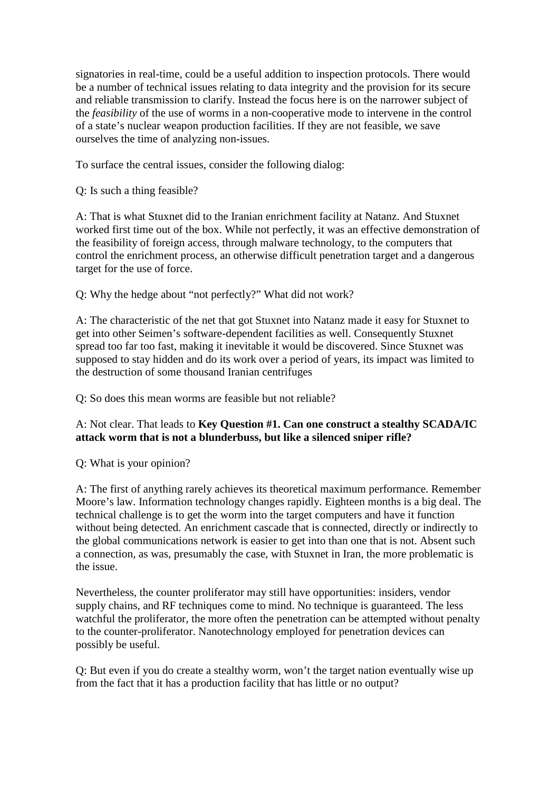signatories in real-time, could be a useful addition to inspection protocols. There would be a number of technical issues relating to data integrity and the provision for its secure and reliable transmission to clarify. Instead the focus here is on the narrower subject of the *feasibility* of the use of worms in a non-cooperative mode to intervene in the control of a state's nuclear weapon production facilities. If they are not feasible, we save ourselves the time of analyzing non-issues.

To surface the central issues, consider the following dialog:

Q: Is such a thing feasible?

A: That is what Stuxnet did to the Iranian enrichment facility at Natanz. And Stuxnet worked first time out of the box. While not perfectly, it was an effective demonstration of the feasibility of foreign access, through malware technology, to the computers that control the enrichment process, an otherwise difficult penetration target and a dangerous target for the use of force.

Q: Why the hedge about "not perfectly?" What did not work?

A: The characteristic of the net that got Stuxnet into Natanz made it easy for Stuxnet to get into other Seimen's software-dependent facilities as well. Consequently Stuxnet spread too far too fast, making it inevitable it would be discovered. Since Stuxnet was supposed to stay hidden and do its work over a period of years, its impact was limited to the destruction of some thousand Iranian centrifuges

Q: So does this mean worms are feasible but not reliable?

## A: Not clear. That leads to **Key Question #1. Can one construct a stealthy SCADA/IC attack worm that is not a blunderbuss, but like a silenced sniper rifle?**

Q: What is your opinion?

A: The first of anything rarely achieves its theoretical maximum performance. Remember Moore's law. Information technology changes rapidly. Eighteen months is a big deal. The technical challenge is to get the worm into the target computers and have it function without being detected. An enrichment cascade that is connected, directly or indirectly to the global communications network is easier to get into than one that is not. Absent such a connection, as was, presumably the case, with Stuxnet in Iran, the more problematic is the issue.

Nevertheless, the counter proliferator may still have opportunities: insiders, vendor supply chains, and RF techniques come to mind. No technique is guaranteed. The less watchful the proliferator, the more often the penetration can be attempted without penalty to the counter-proliferator. Nanotechnology employed for penetration devices can possibly be useful.

Q: But even if you do create a stealthy worm, won't the target nation eventually wise up from the fact that it has a production facility that has little or no output?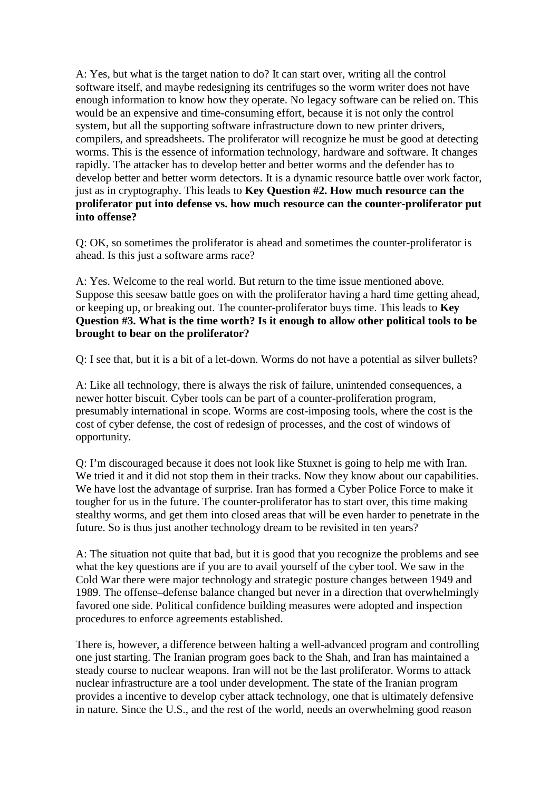A: Yes, but what is the target nation to do? It can start over, writing all the control software itself, and maybe redesigning its centrifuges so the worm writer does not have enough information to know how they operate. No legacy software can be relied on. This would be an expensive and time-consuming effort, because it is not only the control system, but all the supporting software infrastructure down to new printer drivers, compilers, and spreadsheets. The proliferator will recognize he must be good at detecting worms. This is the essence of information technology, hardware and software. It changes rapidly. The attacker has to develop better and better worms and the defender has to develop better and better worm detectors. It is a dynamic resource battle over work factor, just as in cryptography. This leads to **Key Question #2. How much resource can the proliferator put into defense vs. how much resource can the counter-proliferator put into offense?** 

Q: OK, so sometimes the proliferator is ahead and sometimes the counter-proliferator is ahead. Is this just a software arms race?

A: Yes. Welcome to the real world. But return to the time issue mentioned above. Suppose this seesaw battle goes on with the proliferator having a hard time getting ahead, or keeping up, or breaking out. The counter-proliferator buys time. This leads to **Key Question #3. What is the time worth? Is it enough to allow other political tools to be brought to bear on the proliferator?** 

Q: I see that, but it is a bit of a let-down. Worms do not have a potential as silver bullets?

A: Like all technology, there is always the risk of failure, unintended consequences, a newer hotter biscuit. Cyber tools can be part of a counter-proliferation program, presumably international in scope. Worms are cost-imposing tools, where the cost is the cost of cyber defense, the cost of redesign of processes, and the cost of windows of opportunity.

Q: I'm discouraged because it does not look like Stuxnet is going to help me with Iran. We tried it and it did not stop them in their tracks. Now they know about our capabilities. We have lost the advantage of surprise. Iran has formed a Cyber Police Force to make it tougher for us in the future. The counter-proliferator has to start over, this time making stealthy worms, and get them into closed areas that will be even harder to penetrate in the future. So is thus just another technology dream to be revisited in ten years?

A: The situation not quite that bad, but it is good that you recognize the problems and see what the key questions are if you are to avail yourself of the cyber tool. We saw in the Cold War there were major technology and strategic posture changes between 1949 and 1989. The offense–defense balance changed but never in a direction that overwhelmingly favored one side. Political confidence building measures were adopted and inspection procedures to enforce agreements established.

There is, however, a difference between halting a well-advanced program and controlling one just starting. The Iranian program goes back to the Shah, and Iran has maintained a steady course to nuclear weapons. Iran will not be the last proliferator. Worms to attack nuclear infrastructure are a tool under development. The state of the Iranian program provides a incentive to develop cyber attack technology, one that is ultimately defensive in nature. Since the U.S., and the rest of the world, needs an overwhelming good reason